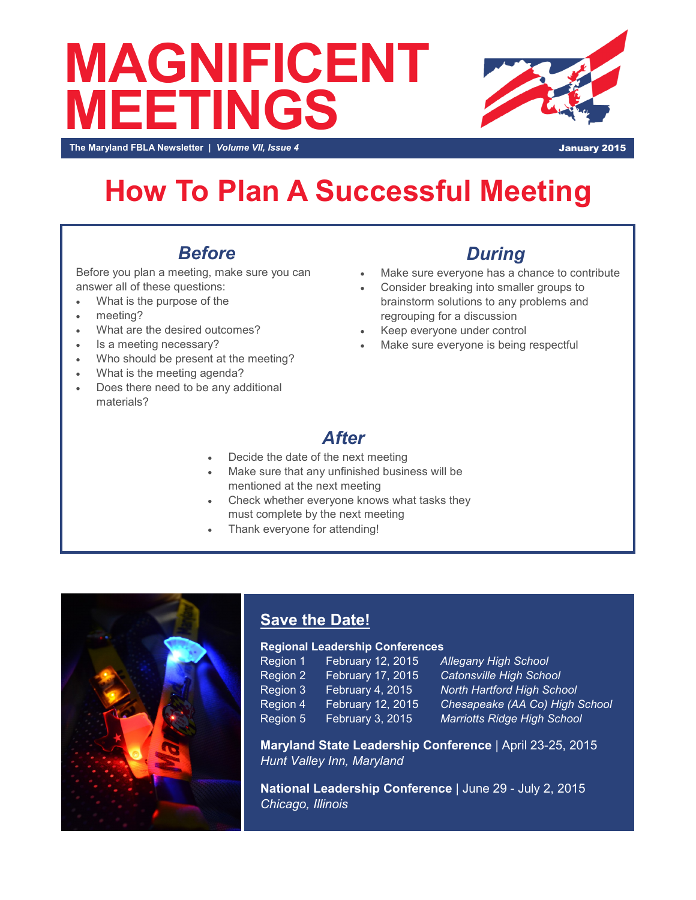# **MAGNIFICENT MEETINGS**



**The Maryland FBLA Newsletter |** *Volume VII, Issue 4* **January 2015** 

## **How To Plan A Successful Meeting**

### *Before*

Before you plan a meeting, make sure you can answer all of these questions:

- What is the purpose of the
- meeting?
- What are the desired outcomes?
- Is a meeting necessary?
- Who should be present at the meeting?
- What is the meeting agenda?
- Does there need to be any additional materials?

#### *During*

- Make sure everyone has a chance to contribute
- Consider breaking into smaller groups to brainstorm solutions to any problems and regrouping for a discussion
- Keep everyone under control
- Make sure everyone is being respectful

#### *After*

- Decide the date of the next meeting
- Make sure that any unfinished business will be mentioned at the next meeting
- Check whether everyone knows what tasks they must complete by the next meeting
- Thank everyone for attending!



#### **Save the Date!**

#### **Regional Leadership Conferences**

| Region 1            | February 12, 2015        |
|---------------------|--------------------------|
| Region 2            | <b>February 17, 2015</b> |
| Region 3            | February 4, 2015         |
| Region 4            | February 12, 2015        |
| Region <sub>5</sub> | February 3, 2015         |

**Allegany High School Catonsville High School North Hartford High School Chesapeake (AA Co) High School Marriotts Ridge High School** 

**Maryland State Leadership Conference** | April 23-25, 2015 *Hunt Valley Inn, Maryland*

**National Leadership Conference** | June 29 - July 2, 2015 *Chicago, Illinois*